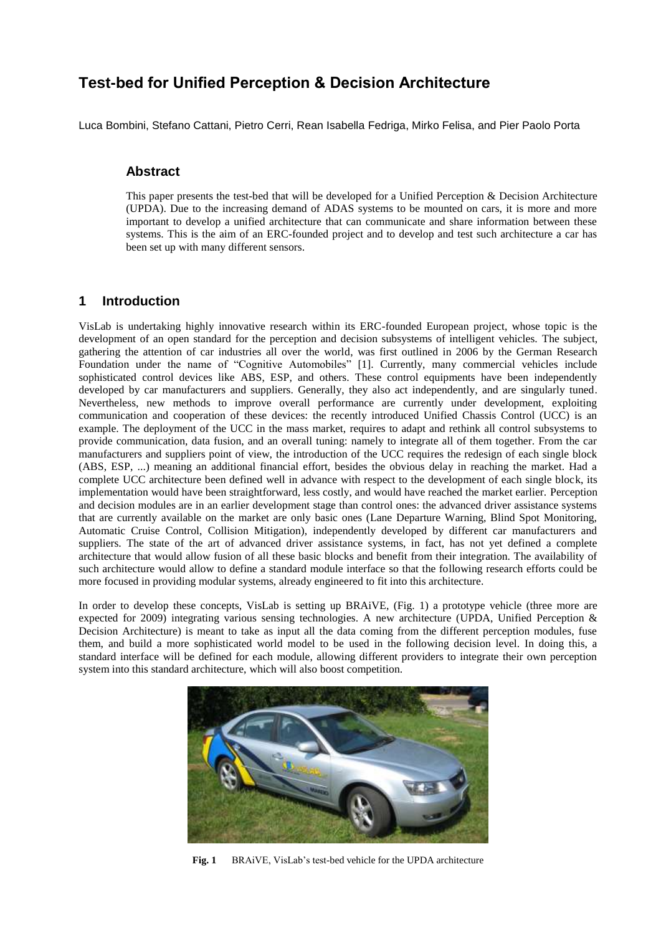# **Test-bed for Unified Perception & Decision Architecture**

Luca Bombini, Stefano Cattani, Pietro Cerri, Rean Isabella Fedriga, Mirko Felisa, and Pier Paolo Porta

### **Abstract**

This paper presents the test-bed that will be developed for a Unified Perception & Decision Architecture (UPDA). Due to the increasing demand of ADAS systems to be mounted on cars, it is more and more important to develop a unified architecture that can communicate and share information between these systems. This is the aim of an ERC-founded project and to develop and test such architecture a car has been set up with many different sensors.

### **1 Introduction**

VisLab is undertaking highly innovative research within its ERC-founded European project, whose topic is the development of an open standard for the perception and decision subsystems of intelligent vehicles. The subject, gathering the attention of car industries all over the world, was first outlined in 2006 by the German Research Foundation under the name of "Cognitive Automobiles" [1]. Currently, many commercial vehicles include sophisticated control devices like ABS, ESP, and others. These control equipments have been independently developed by car manufacturers and suppliers. Generally, they also act independently, and are singularly tuned. Nevertheless, new methods to improve overall performance are currently under development, exploiting communication and cooperation of these devices: the recently introduced Unified Chassis Control (UCC) is an example. The deployment of the UCC in the mass market, requires to adapt and rethink all control subsystems to provide communication, data fusion, and an overall tuning: namely to integrate all of them together. From the car manufacturers and suppliers point of view, the introduction of the UCC requires the redesign of each single block (ABS, ESP, ...) meaning an additional financial effort, besides the obvious delay in reaching the market. Had a complete UCC architecture been defined well in advance with respect to the development of each single block, its implementation would have been straightforward, less costly, and would have reached the market earlier. Perception and decision modules are in an earlier development stage than control ones: the advanced driver assistance systems that are currently available on the market are only basic ones (Lane Departure Warning, Blind Spot Monitoring, Automatic Cruise Control, Collision Mitigation), independently developed by different car manufacturers and suppliers. The state of the art of advanced driver assistance systems, in fact, has not yet defined a complete architecture that would allow fusion of all these basic blocks and benefit from their integration. The availability of such architecture would allow to define a standard module interface so that the following research efforts could be more focused in providing modular systems, already engineered to fit into this architecture.

In order to develop these concepts, VisLab is setting up BRAiVE, (Fig. 1) a prototype vehicle (three more are expected for 2009) integrating various sensing technologies. A new architecture (UPDA, Unified Perception & Decision Architecture) is meant to take as input all the data coming from the different perception modules, fuse them, and build a more sophisticated world model to be used in the following decision level. In doing this, a standard interface will be defined for each module, allowing different providers to integrate their own perception system into this standard architecture, which will also boost competition.



Fig. 1 BRAiVE, VisLab's test-bed vehicle for the UPDA architecture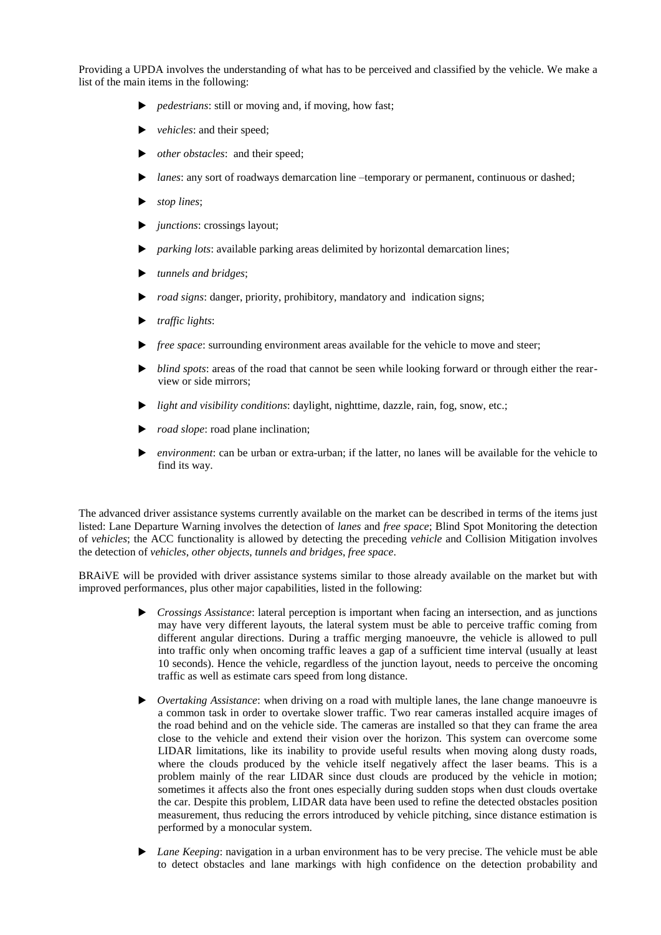Providing a UPDA involves the understanding of what has to be perceived and classified by the vehicle. We make a list of the main items in the following:

- ▶ *pedestrians*: still or moving and, if moving, how fast;
- *vehicles*: and their speed;
- other obstacles: and their speed;
- *lanes*: any sort of roadways demarcation line –temporary or permanent, continuous or dashed;
- *stop lines*;
- *junctions*: crossings layout;
- **P** *parking lots*: available parking areas delimited by horizontal demarcation lines;
- *tunnels and bridges*;
- *road signs: danger, priority, prohibitory, mandatory and indication signs;*
- *traffic lights*:
- **Figure 1** free space: surrounding environment areas available for the vehicle to move and steer;
- **b** blind spots: areas of the road that cannot be seen while looking forward or through either the rearview or side mirrors;
- *light and visibility conditions*: daylight, nighttime, dazzle, rain, fog, snow, etc.;
- *road slope*: road plane inclination;
- *environment*: can be urban or extra-urban; if the latter, no lanes will be available for the vehicle to find its way.

The advanced driver assistance systems currently available on the market can be described in terms of the items just listed: Lane Departure Warning involves the detection of *lanes* and *free space*; Blind Spot Monitoring the detection of *vehicles*; the ACC functionality is allowed by detecting the preceding *vehicle* and Collision Mitigation involves the detection of *vehicles*, *other objects*, *tunnels and bridges*, *free space*.

BRAiVE will be provided with driver assistance systems similar to those already available on the market but with improved performances, plus other major capabilities, listed in the following:

- *Crossings Assistance*: lateral perception is important when facing an intersection, and as junctions may have very different layouts, the lateral system must be able to perceive traffic coming from different angular directions. During a traffic merging manoeuvre, the vehicle is allowed to pull into traffic only when oncoming traffic leaves a gap of a sufficient time interval (usually at least 10 seconds). Hence the vehicle, regardless of the junction layout, needs to perceive the oncoming traffic as well as estimate cars speed from long distance.
- *Overtaking Assistance*: when driving on a road with multiple lanes, the lane change manoeuvre is a common task in order to overtake slower traffic. Two rear cameras installed acquire images of the road behind and on the vehicle side. The cameras are installed so that they can frame the area close to the vehicle and extend their vision over the horizon. This system can overcome some LIDAR limitations, like its inability to provide useful results when moving along dusty roads, where the clouds produced by the vehicle itself negatively affect the laser beams. This is a problem mainly of the rear LIDAR since dust clouds are produced by the vehicle in motion; sometimes it affects also the front ones especially during sudden stops when dust clouds overtake the car. Despite this problem, LIDAR data have been used to refine the detected obstacles position measurement, thus reducing the errors introduced by vehicle pitching, since distance estimation is performed by a monocular system.
- *Lane Keeping*: navigation in a urban environment has to be very precise. The vehicle must be able to detect obstacles and lane markings with high confidence on the detection probability and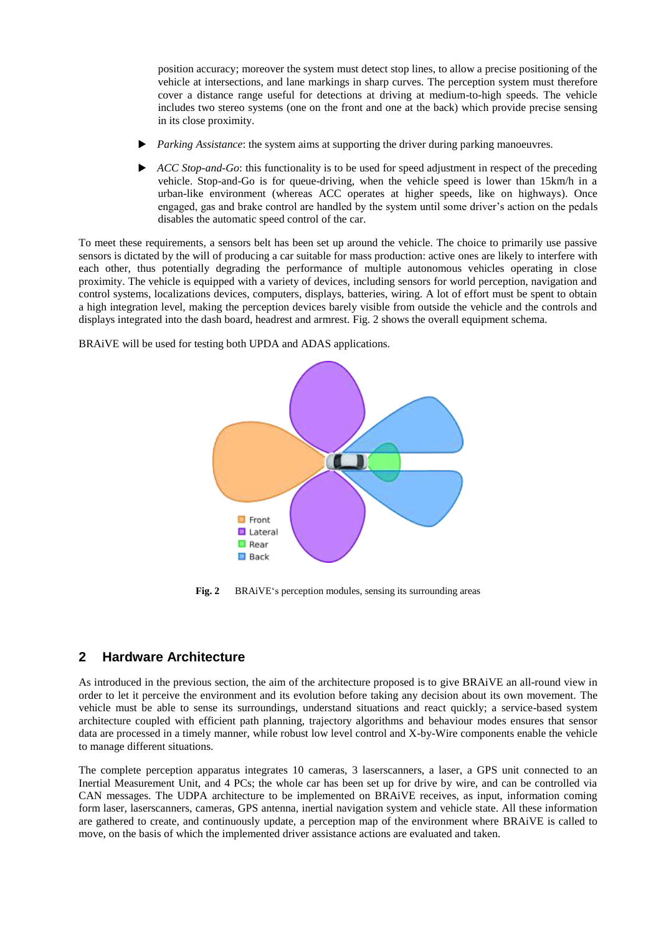position accuracy; moreover the system must detect stop lines, to allow a precise positioning of the vehicle at intersections, and lane markings in sharp curves. The perception system must therefore cover a distance range useful for detections at driving at medium-to-high speeds. The vehicle includes two stereo systems (one on the front and one at the back) which provide precise sensing in its close proximity.

- *Parking Assistance*: the system aims at supporting the driver during parking manoeuvres.
- *ACC Stop-and-Go*: this functionality is to be used for speed adjustment in respect of the preceding vehicle. Stop-and-Go is for queue-driving, when the vehicle speed is lower than 15km/h in a urban-like environment (whereas ACC operates at higher speeds, like on highways). Once engaged, gas and brake control are handled by the system until some driver"s action on the pedals disables the automatic speed control of the car.

To meet these requirements, a sensors belt has been set up around the vehicle. The choice to primarily use passive sensors is dictated by the will of producing a car suitable for mass production: active ones are likely to interfere with each other, thus potentially degrading the performance of multiple autonomous vehicles operating in close proximity. The vehicle is equipped with a variety of devices, including sensors for world perception, navigation and control systems, localizations devices, computers, displays, batteries, wiring. A lot of effort must be spent to obtain a high integration level, making the perception devices barely visible from outside the vehicle and the controls and displays integrated into the dash board, headrest and armrest. Fig. 2 shows the overall equipment schema.

BRAiVE will be used for testing both UPDA and ADAS applications.



**Fig. 2** BRAiVE"s perception modules, sensing its surrounding areas

### **2 Hardware Architecture**

As introduced in the previous section, the aim of the architecture proposed is to give BRAiVE an all-round view in order to let it perceive the environment and its evolution before taking any decision about its own movement. The vehicle must be able to sense its surroundings, understand situations and react quickly; a service-based system architecture coupled with efficient path planning, trajectory algorithms and behaviour modes ensures that sensor data are processed in a timely manner, while robust low level control and X-by-Wire components enable the vehicle to manage different situations.

The complete perception apparatus integrates 10 cameras, 3 laserscanners, a laser, a GPS unit connected to an Inertial Measurement Unit, and 4 PCs; the whole car has been set up for drive by wire, and can be controlled via CAN messages. The UDPA architecture to be implemented on BRAiVE receives, as input, information coming form laser, laserscanners, cameras, GPS antenna, inertial navigation system and vehicle state. All these information are gathered to create, and continuously update, a perception map of the environment where BRAiVE is called to move, on the basis of which the implemented driver assistance actions are evaluated and taken.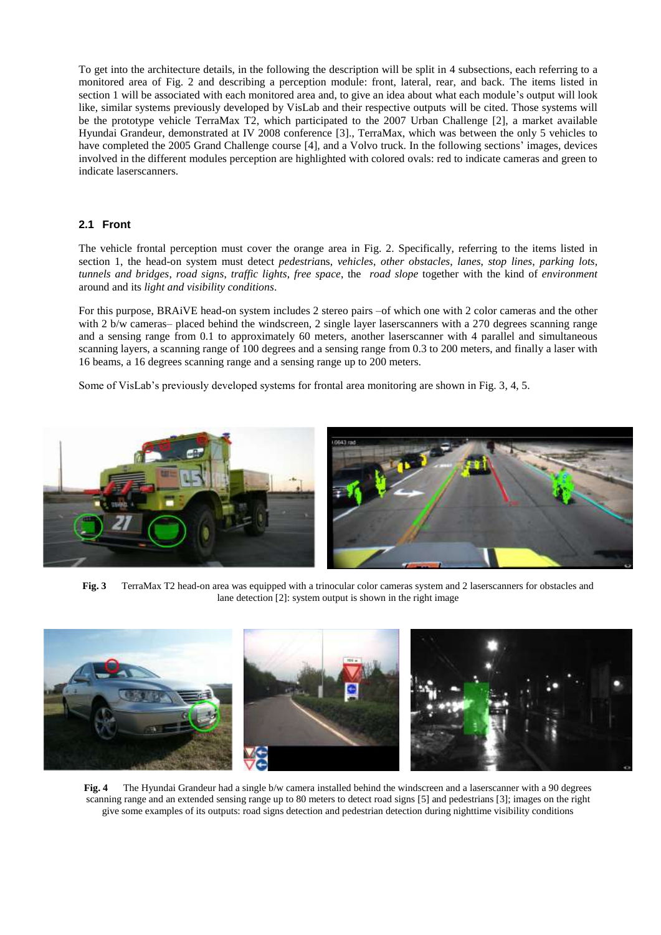To get into the architecture details, in the following the description will be split in 4 subsections, each referring to a monitored area of Fig. 2 and describing a perception module: front, lateral, rear, and back. The items listed in section 1 will be associated with each monitored area and, to give an idea about what each module's output will look like, similar systems previously developed by VisLab and their respective outputs will be cited. Those systems will be the prototype vehicle TerraMax T2, which participated to the 2007 Urban Challenge [2], a market available Hyundai Grandeur, demonstrated at IV 2008 conference [3]., TerraMax, which was between the only 5 vehicles to have completed the 2005 Grand Challenge course [4], and a Volvo truck. In the following sections' images, devices involved in the different modules perception are highlighted with colored ovals: red to indicate cameras and green to indicate laserscanners.

#### **2.1 Front**

The vehicle frontal perception must cover the orange area in Fig. 2. Specifically, referring to the items listed in section 1, the head-on system must detect *pedestria*ns, *vehicles*, *other obstacles*, *lanes*, *stop lines*, *parking lots*, *tunnels and bridges*, *road signs*, *traffic lights*, *free space*, the *road slope* together with the kind of *environment* around and its *light and visibility conditions*.

For this purpose, BRAiVE head-on system includes 2 stereo pairs –of which one with 2 color cameras and the other with 2 b/w cameras– placed behind the windscreen, 2 single layer laserscanners with a 270 degrees scanning range and a sensing range from 0.1 to approximately 60 meters, another laserscanner with 4 parallel and simultaneous scanning layers, a scanning range of 100 degrees and a sensing range from 0.3 to 200 meters, and finally a laser with 16 beams, a 16 degrees scanning range and a sensing range up to 200 meters.

Some of VisLab"s previously developed systems for frontal area monitoring are shown in Fig. 3, 4, 5.



**Fig. 3** TerraMax T2 head-on area was equipped with a trinocular color cameras system and 2 laserscanners for obstacles and lane detection [2]: system output is shown in the right image



**Fig. 4** The Hyundai Grandeur had a single b/w camera installed behind the windscreen and a laserscanner with a 90 degrees scanning range and an extended sensing range up to 80 meters to detect road signs [5] and pedestrians [3]; images on the right give some examples of its outputs: road signs detection and pedestrian detection during nighttime visibility conditions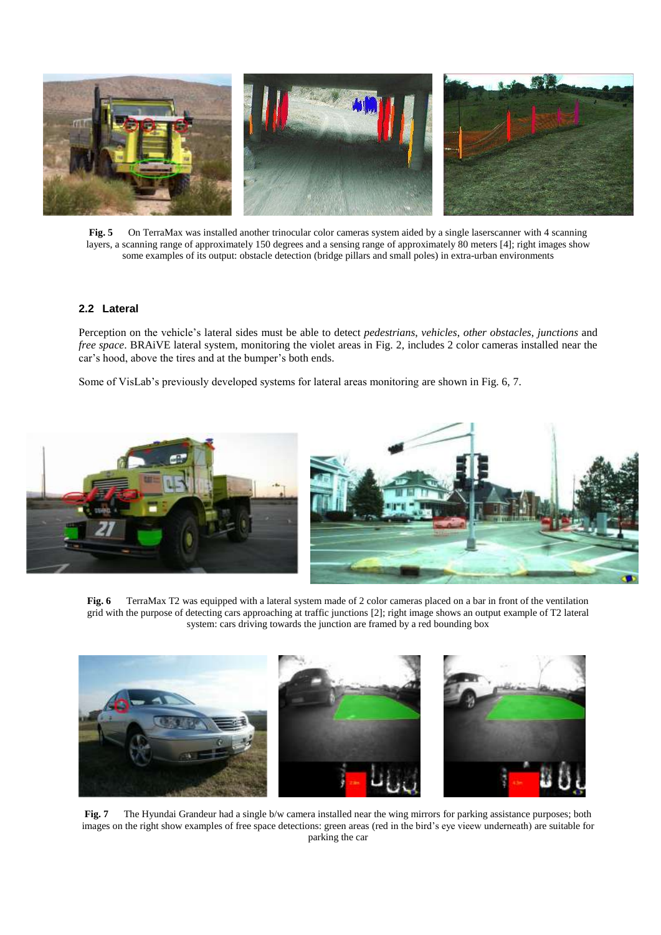

**Fig. 5** On TerraMax was installed another trinocular color cameras system aided by a single laserscanner with 4 scanning layers, a scanning range of approximately 150 degrees and a sensing range of approximately 80 meters [4]; right images show some examples of its output: obstacle detection (bridge pillars and small poles) in extra-urban environments

#### **2.2 Lateral**

Perception on the vehicle"s lateral sides must be able to detect *pedestrians*, *vehicles*, *other obstacles*, *junctions* and *free space*. BRAiVE lateral system, monitoring the violet areas in Fig. 2, includes 2 color cameras installed near the car"s hood, above the tires and at the bumper"s both ends.

Some of VisLab"s previously developed systems for lateral areas monitoring are shown in Fig. 6, 7.



**Fig. 6** TerraMax T2 was equipped with a lateral system made of 2 color cameras placed on a bar in front of the ventilation grid with the purpose of detecting cars approaching at traffic junctions [2]; right image shows an output example of T2 lateral system: cars driving towards the junction are framed by a red bounding box



**Fig. 7** The Hyundai Grandeur had a single b/w camera installed near the wing mirrors for parking assistance purposes; both images on the right show examples of free space detections: green areas (red in the bird"s eye vieew underneath) are suitable for parking the car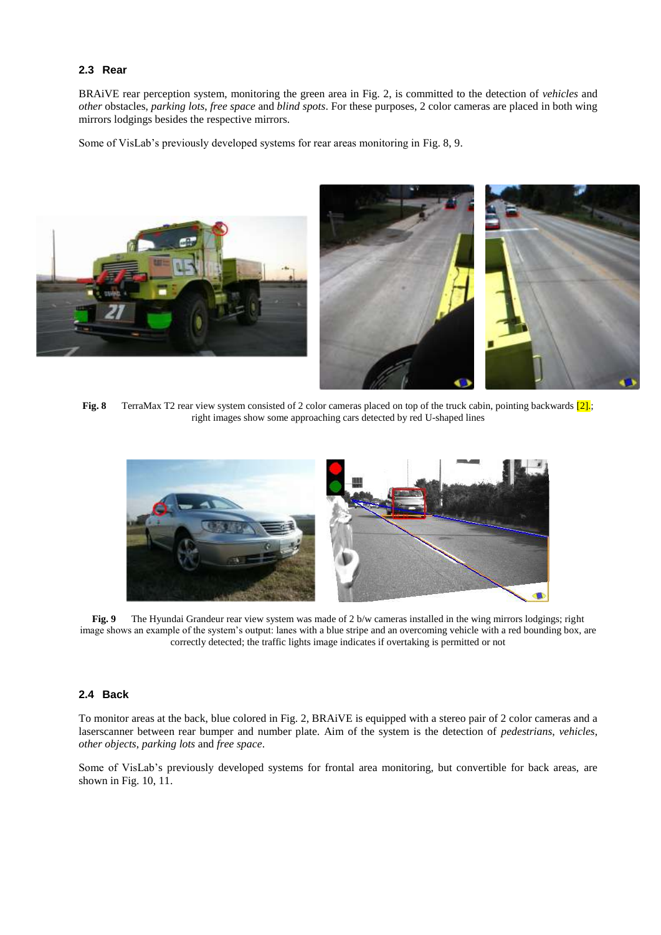#### **2.3 Rear**

BRAiVE rear perception system, monitoring the green area in Fig. 2, is committed to the detection of *vehicles* and *other* obstacles, *parking lots*, *free space* and *blind spots*. For these purposes, 2 color cameras are placed in both wing mirrors lodgings besides the respective mirrors.

Some of VisLab"s previously developed systems for rear areas monitoring in Fig. 8, 9.



**Fig. 8** TerraMax T2 rear view system consisted of 2 color cameras placed on top of the truck cabin, pointing backwards  $[2]$ ; right images show some approaching cars detected by red U-shaped lines



**Fig. 9** The Hyundai Grandeur rear view system was made of 2 b/w cameras installed in the wing mirrors lodgings; right image shows an example of the system"s output: lanes with a blue stripe and an overcoming vehicle with a red bounding box, are correctly detected; the traffic lights image indicates if overtaking is permitted or not

#### **2.4 Back**

To monitor areas at the back, blue colored in Fig. 2, BRAiVE is equipped with a stereo pair of 2 color cameras and a laserscanner between rear bumper and number plate. Aim of the system is the detection of *pedestrians*, *vehicles*, *other objects*, *parking lots* and *free space*.

Some of VisLab"s previously developed systems for frontal area monitoring, but convertible for back areas, are shown in Fig. 10, 11.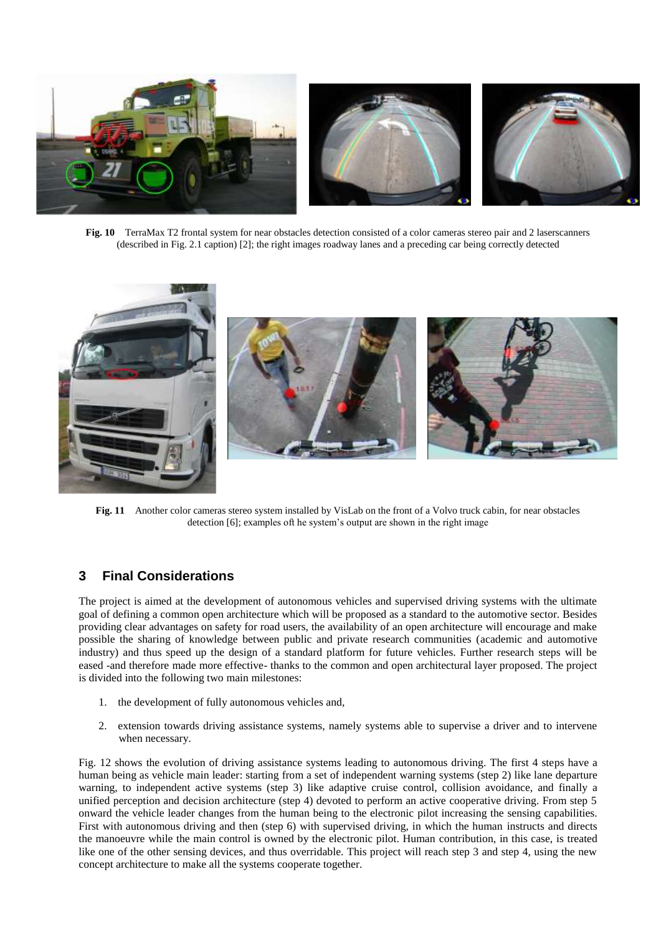

**Fig. 10** TerraMax T2 frontal system for near obstacles detection consisted of a color cameras stereo pair and 2 laserscanners (described in Fig. 2.1 caption) [2]; the right images roadway lanes and a preceding car being correctly detected



**Fig. 11** Another color cameras stereo system installed by VisLab on the front of a Volvo truck cabin, for near obstacles detection [6]; examples oft he system"s output are shown in the right image

## **3 Final Considerations**

The project is aimed at the development of autonomous vehicles and supervised driving systems with the ultimate goal of defining a common open architecture which will be proposed as a standard to the automotive sector. Besides providing clear advantages on safety for road users, the availability of an open architecture will encourage and make possible the sharing of knowledge between public and private research communities (academic and automotive industry) and thus speed up the design of a standard platform for future vehicles. Further research steps will be eased -and therefore made more effective- thanks to the common and open architectural layer proposed. The project is divided into the following two main milestones:

- 1. the development of fully autonomous vehicles and,
- 2. extension towards driving assistance systems, namely systems able to supervise a driver and to intervene when necessary.

Fig. 12 shows the evolution of driving assistance systems leading to autonomous driving. The first 4 steps have a human being as vehicle main leader: starting from a set of independent warning systems (step 2) like lane departure warning, to independent active systems (step 3) like adaptive cruise control, collision avoidance, and finally a unified perception and decision architecture (step 4) devoted to perform an active cooperative driving. From step 5 onward the vehicle leader changes from the human being to the electronic pilot increasing the sensing capabilities. First with autonomous driving and then (step 6) with supervised driving, in which the human instructs and directs the manoeuvre while the main control is owned by the electronic pilot. Human contribution, in this case, is treated like one of the other sensing devices, and thus overridable. This project will reach step 3 and step 4, using the new concept architecture to make all the systems cooperate together.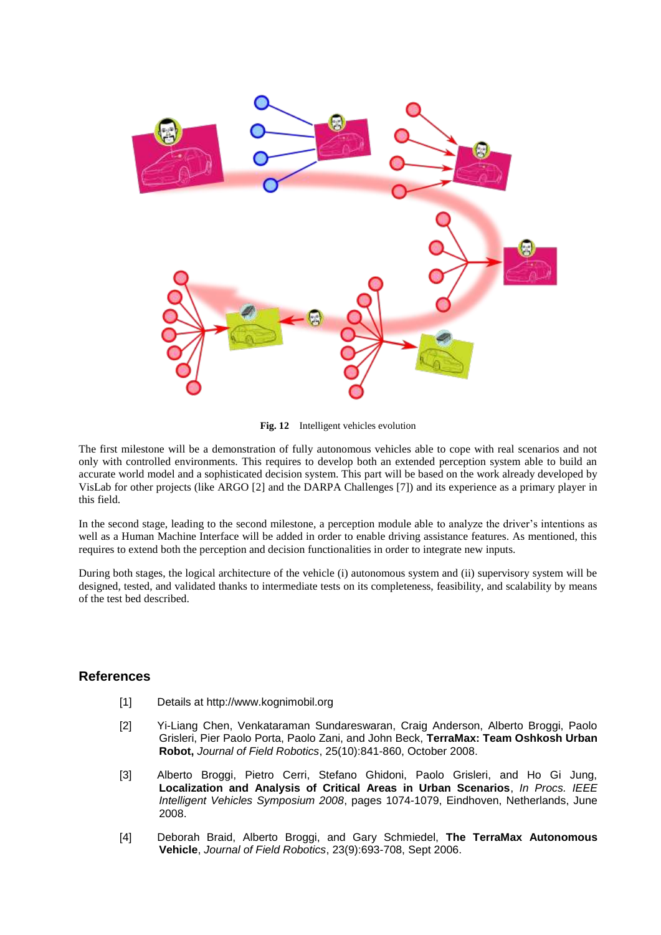

**Fig. 12** Intelligent vehicles evolution

The first milestone will be a demonstration of fully autonomous vehicles able to cope with real scenarios and not only with controlled environments. This requires to develop both an extended perception system able to build an accurate world model and a sophisticated decision system. This part will be based on the work already developed by VisLab for other projects (like ARGO [2] and the DARPA Challenges [7]) and its experience as a primary player in this field.

In the second stage, leading to the second milestone, a perception module able to analyze the driver"s intentions as well as a Human Machine Interface will be added in order to enable driving assistance features. As mentioned, this requires to extend both the perception and decision functionalities in order to integrate new inputs.

During both stages, the logical architecture of the vehicle (i) autonomous system and (ii) supervisory system will be designed, tested, and validated thanks to intermediate tests on its completeness, feasibility, and scalability by means of the test bed described.

### **References**

- [1] Details at http://www.kognimobil.org
- [2] Yi-Liang Chen, Venkataraman Sundareswaran, Craig Anderson, Alberto Broggi, Paolo Grisleri, Pier Paolo Porta, Paolo Zani, and John Beck, **TerraMax: Team Oshkosh Urban Robot,** *Journal of Field Robotics*, 25(10):841-860, October 2008.
- [3] Alberto Broggi, Pietro Cerri, Stefano Ghidoni, Paolo Grisleri, and Ho Gi Jung, **Localization and Analysis of Critical Areas in Urban Scenarios**, *In Procs. IEEE Intelligent Vehicles Symposium 2008*, pages 1074-1079, Eindhoven, Netherlands, June 2008.
- [4] Deborah Braid, Alberto Broggi, and Gary Schmiedel, **The TerraMax Autonomous Vehicle**, *Journal of Field Robotics*, 23(9):693-708, Sept 2006.